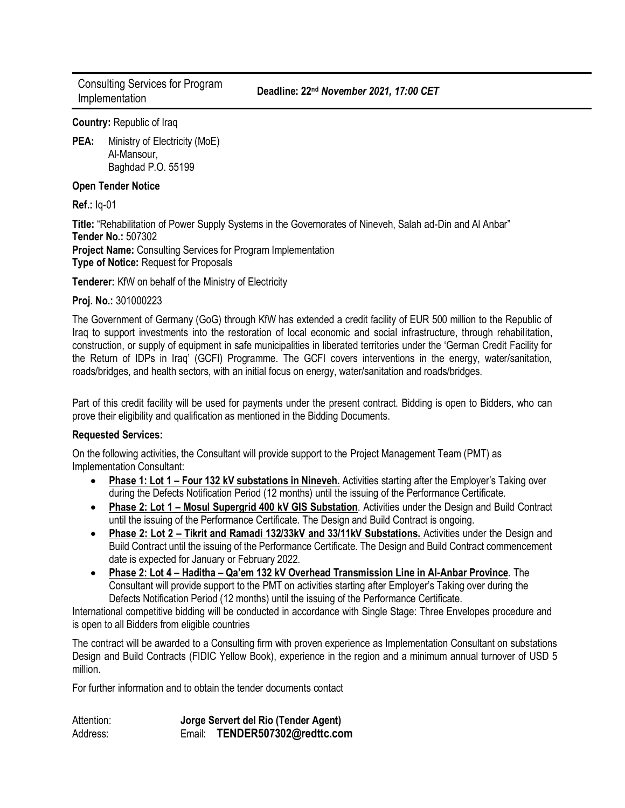Consulting Services for Program Implementation **Deadline: 22nd** *November 2021, 17:00 CET*

**Country:** Republic of Iraq

**PEA:** Ministry of Electricity (MoE) Al-Mansour, Baghdad P.O. 55199

## **Open Tender Notice**

**Ref.:** Iq-01

**Title:** "Rehabilitation of Power Supply Systems in the Governorates of Nineveh, Salah ad-Din and Al Anbar" **Tender No.:** 507302 **Project Name:** Consulting Services for Program Implementation **Type of Notice:** Request for Proposals

**Tenderer:** KfW on behalf of the Ministry of Electricity

## **Proj. No.:** 301000223

The Government of Germany (GoG) through KfW has extended a credit facility of EUR 500 million to the Republic of Iraq to support investments into the restoration of local economic and social infrastructure, through rehabilitation, construction, or supply of equipment in safe municipalities in liberated territories under the 'German Credit Facility for the Return of IDPs in Iraq' (GCFI) Programme. The GCFI covers interventions in the energy, water/sanitation, roads/bridges, and health sectors, with an initial focus on energy, water/sanitation and roads/bridges.

Part of this credit facility will be used for payments under the present contract. Bidding is open to Bidders, who can prove their eligibility and qualification as mentioned in the Bidding Documents.

## **Requested Services:**

On the following activities, the Consultant will provide support to the Project Management Team (PMT) as Implementation Consultant:

- **Phase 1: Lot 1 – Four 132 kV substations in Nineveh.** Activities starting after the Employer's Taking over during the Defects Notification Period (12 months) until the issuing of the Performance Certificate.
- **Phase 2: Lot 1 – Mosul Supergrid 400 kV GIS Substation**. Activities under the Design and Build Contract until the issuing of the Performance Certificate. The Design and Build Contract is ongoing.
- **Phase 2: Lot 2 – Tikrit and Ramadi 132/33kV and 33/11kV Substations.** Activities under the Design and Build Contract until the issuing of the Performance Certificate. The Design and Build Contract commencement date is expected for January or February 2022.
- **Phase 2: Lot 4 – Haditha – Qa'em 132 kV Overhead Transmission Line in Al-Anbar Province**. The Consultant will provide support to the PMT on activities starting after Employer's Taking over during the Defects Notification Period (12 months) until the issuing of the Performance Certificate.

International competitive bidding will be conducted in accordance with Single Stage: Three Envelopes procedure and is open to all Bidders from eligible countries

The contract will be awarded to a Consulting firm with proven experience as Implementation Consultant on substations Design and Build Contracts (FIDIC Yellow Book), experience in the region and a minimum annual turnover of USD 5 million.

For further information and to obtain the tender documents contact

Attention: **Jorge Servert del Rio (Tender Agent)** Address: Email: **TENDER507302@redttc.com**